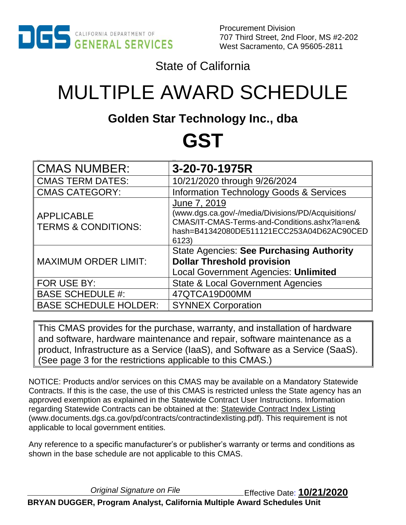

Procurement Division 707 Third Street, 2nd Floor, MS #2-202 West Sacramento, CA 95605-2811

State of California

# MULTIPLE AWARD SCHEDULE

# **Golden Star Technology Inc., dba**

# **GST**

| <b>CMAS NUMBER:</b>                                 | 3-20-70-1975R                                                                                                                                                             |
|-----------------------------------------------------|---------------------------------------------------------------------------------------------------------------------------------------------------------------------------|
| <b>CMAS TERM DATES:</b>                             | 10/21/2020 through 9/26/2024                                                                                                                                              |
| <b>CMAS CATEGORY:</b>                               | <b>Information Technology Goods &amp; Services</b>                                                                                                                        |
| <b>APPLICABLE</b><br><b>TERMS &amp; CONDITIONS:</b> | June 7, 2019<br>(www.dgs.ca.gov/-/media/Divisions/PD/Acquisitions/<br>CMAS/IT-CMAS-Terms-and-Conditions.ashx?la=en&<br>hash=B41342080DE511121ECC253A04D62AC90CED<br>6123) |
| <b>MAXIMUM ORDER LIMIT:</b>                         | <b>State Agencies: See Purchasing Authority</b><br><b>Dollar Threshold provision</b><br><b>Local Government Agencies: Unlimited</b>                                       |
| FOR USE BY:                                         | <b>State &amp; Local Government Agencies</b>                                                                                                                              |
| <b>BASE SCHEDULE #:</b>                             | 47QTCA19D00MM                                                                                                                                                             |
| <b>BASE SCHEDULE HOLDER:</b>                        | <b>SYNNEX Corporation</b>                                                                                                                                                 |
|                                                     |                                                                                                                                                                           |

This CMAS provides for the purchase, warranty, and installation of hardware and software, hardware maintenance and repair, software maintenance as a product, Infrastructure as a Service (IaaS), and Software as a Service (SaaS). (See page 3 for the restrictions applicable to this CMAS.)

NOTICE: Products and/or services on this CMAS may be available on a Mandatory Statewide Contracts. If this is the case, the use of this CMAS is restricted unless the State agency has an approved exemption as explained in the Statewide Contract User Instructions. Information regarding Statewide Contracts can be obtained at the: [Statewide Contract Index Listing](http://www.documents.dgs.ca.gov/pd/contracts/contractindexlisting.pdf) (www.documents.dgs.ca.gov/pd/contracts/contractindexlisting.pdf). This requirement is not applicable to local government entities.

Any reference to a specific manufacturer's or publisher's warranty or terms and conditions as shown in the base schedule are not applicable to this CMAS.

*Original Signature on File* Effective Date: **10/21/2020**

**BRYAN DUGGER, Program Analyst, California Multiple Award Schedules Unit**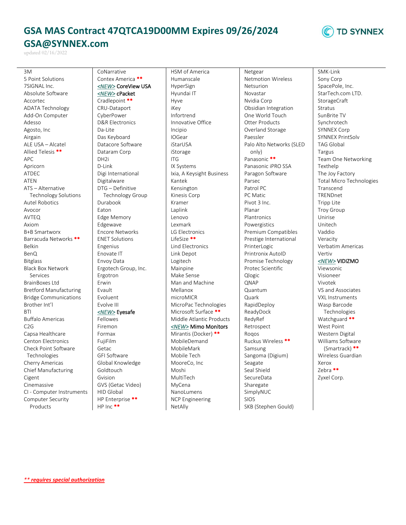# **GSA MAS Contract 47QTCA19D00MM Expires 09/26/2024 GSA@SYNNEX.com**

updated 02/16/2022

3M 5 Point Solutions 7SIGNAL Inc. Absolute Software Accortec ADATA Technology Add-On Computer Adesso Agosto, Inc Airgain ALE USA – Alcatel Allied Telesis \*\* APC Apricorn ATDEC ATEN ATS – Alternative Technology Solutions Autel Robotics Avocor AVTEQ Axiom B+B Smartworx Barracuda Networks \*\* Belkin BenQ Bitglass Black Box Network Services BrainBoxes Ltd Bretford Manufacturing Bridge Communications Brother Int'l **BTI** Buffalo Americas C2G Capsa Healthcare Centon Electronics Check Point Software Technologies Cherry Americas Chief Manufacturing Cigent Cinemassive CI - Computer Instruments Computer Security Products

Contex America \*\* *<NEW>* CoreView USA *<NEW>* cPacket Cradlepoint \*\* CRU-Dataport CyberPower D&R Electronics Da-Lite Das Keyboard Datacore Software Dataram Corp DH2i D-Link Digi International Digitalware DTG – Definitive Technology Group Durabook Eaton Edge Memory Edgewave Encore Networks ENET Solutions Engenius Enovate IT Envoy Data Ergotech Group, Inc. Ergotron Erwin Evault Evoluent Evolve III *<NEW>* Eyesafe Fellowes Firemon Formax FujiFilm Getac GFI Software Global Knowledge Goldtouch Gvision GVS (Getac Video) HID Global

HP Enterprise \*\* HP Inc \*\*

CoNarrative

HSM of America Humanscale HyperSign Hyundai IT Hyve iKey Infortrend Innovative Office Incipio IOGear iStarUSA iStorage ITG IX Systems Ixia, A Keysight Business Kantek Kensington Kinesis Corp Kramer Laplink Lenovo Lexmark LG Electronics LifeSize \*\* Lind Electronics Link Depot Logitech Mainpine Make Sense Man and Machine Mellanox microMICR MicroPac Technologies Microsoft Surface \*\* Middle Atlantic Products *<NEW>* Mimo Monitors Mirantis (Docker) \*\* MobileDemand MobileMark Mobile Tech MooreCo, Inc Moshi MultiTech MyCena NanoLumens NCP Engineering

NetAlly

Netgear Netmotion Wireless Netsurion Novastar Nvidia Corp Obsidian Integration One World Touch Otter Products Overland Storage Paessler Palo Alto Networks (SLED only) Panasonic \*\* Panasonic iPRO SSA Paragon Software Parsec Patrol PC PC Matic Pivot 3 Inc. Planar Plantronics Powergistics Premium Compatibles Prestige International PrinterLogic Printronix AutoID Promise Technology Protec Scientific Qlogic QNAP Quantum Quark RapidDeploy ReadyDock RedyRef Retrospect Rogos Ruckus Wireless \*\* Samsung Sangoma (Digium) Seagate Seal Shield **SecureData** Sharegate SimplyNUC SIOS SKB (Stephen Gould)

**TD SYNNEX** 

SMK-Link Sony Corp SpacePole, Inc. StarTech.com LTD. StorageCraft Stratus SunBrite TV Synchrotech SYNNEX Corp SYNNEX PrintSolv TAG Global Targus Team One Networking Texthelp The Joy Factory Total Micro Technologies Transcend **TRENDnet** Tripp Lite Troy Group Unirise Unitech Vaddio Veracity Verbatim Americas Vertiv *<NEW>* VIDIZMO Viewsonic Visioneer Vivotek VS and Associates VXL Instruments Wasp Barcode Technologies Watchguard \*\* West Point

Western Digital Williams Software (Smartrack) \*\* Wireless Guardian Xerox Zebra \*\* Zyxel Corp.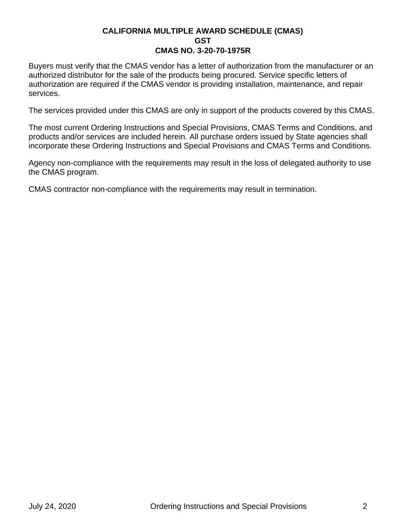Buyers must verify that the CMAS vendor has a letter of authorization from the manufacturer or an authorized distributor for the sale of the products being procured. Service specific letters of authorization are required if the CMAS vendor is providing installation, maintenance, and repair services.

The services provided under this CMAS are only in support of the products covered by this CMAS.

The most current Ordering Instructions and Special Provisions, CMAS Terms and Conditions, and products and/or services are included herein. All purchase orders issued by State agencies shall incorporate these Ordering Instructions and Special Provisions and CMAS Terms and Conditions.

Agency non-compliance with the requirements may result in the loss of delegated authority to use the CMAS program.

CMAS contractor non-compliance with the requirements may result in termination.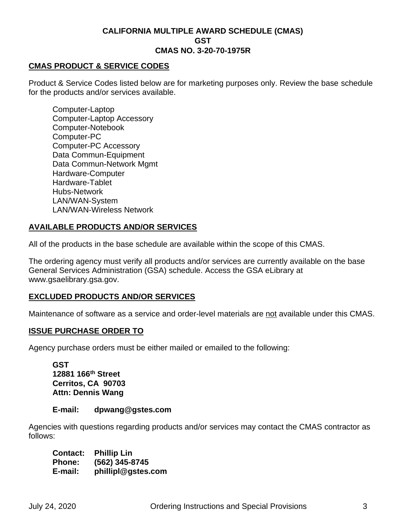#### **CMAS PRODUCT & SERVICE CODES**

Product & Service Codes listed below are for marketing purposes only. Review the base schedule for the products and/or services available.

Computer-Laptop Computer-Laptop Accessory Computer-Notebook Computer-PC Computer-PC Accessory Data Commun-Equipment Data Commun-Network Mgmt Hardware-Computer Hardware-Tablet Hubs-Network LAN/WAN-System LAN/WAN-Wireless Network

# **AVAILABLE PRODUCTS AND/OR SERVICES**

All of the products in the base schedule are available within the scope of this CMAS.

The ordering agency must verify all products and/or services are currently available on the base General Services Administration (GSA) schedule. Access the [GSA eLibrary](http://www.gsaelibrary.gsa.gov/) at www.gsaelibrary.gsa.gov.

# **EXCLUDED PRODUCTS AND/OR SERVICES**

Maintenance of software as a service and order-level materials are not available under this CMAS.

#### **ISSUE PURCHASE ORDER TO**

Agency purchase orders must be either mailed or emailed to the following:

**GST 12881 166th Street Cerritos, CA 90703 Attn: Dennis Wang**

#### **E-mail: dpwang@gstes.com**

Agencies with questions regarding products and/or services may contact the CMAS contractor as follows:

**Contact: Phillip Lin Phone: (562) 345-8745 E-mail: phillipl@gstes.com**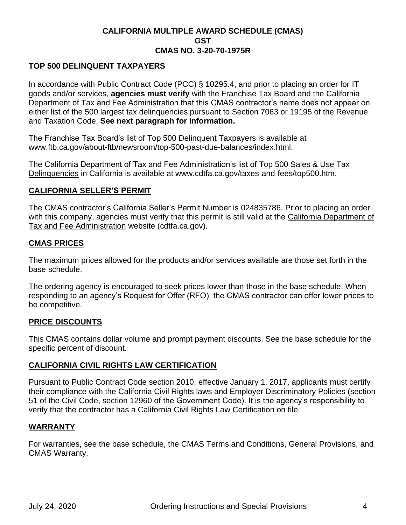# **TOP 500 DELINQUENT TAXPAYERS**

In accordance with Public Contract Code (PCC) § 10295.4, and prior to placing an order for IT goods and/or services, **agencies must verify** with the Franchise Tax Board and the California Department of Tax and Fee Administration that this CMAS contractor's name does not appear on either list of the 500 largest tax delinquencies pursuant to Section 7063 or 19195 of the Revenue and Taxation Code. **See next paragraph for information.**

The Franchise Tax Board's list of [Top 500 Delinquent Taxpayers](http://www.ftb.ca.gov/about-ftb/newsroom/top-500-past-due-balances/index.html.) is available at www.ftb.ca.gov/about-ftb/newsroom/top-500-past-due-balances/index.html.

The California Department of Tax and Fee Administration's list of [Top 500 Sales & Use Tax](http://www.cdtfa.ca.gov/taxes-and-fees/top500.htm)  [Delinquencies](http://www.cdtfa.ca.gov/taxes-and-fees/top500.htm) in California is available at www.cdtfa.ca.gov/taxes-and-fees/top500.htm.

#### **CALIFORNIA SELLER'S PERMIT**

The CMAS contractor's California Seller's Permit Number is 024835786. Prior to placing an order with this company, agencies must verify that this permit is still valid at the [California Department of](http://cdtfa.ca.gov/)  [Tax and Fee Administration](http://cdtfa.ca.gov/) website (cdtfa.ca.gov).

# **CMAS PRICES**

The maximum prices allowed for the products and/or services available are those set forth in the base schedule.

The ordering agency is encouraged to seek prices lower than those in the base schedule. When responding to an agency's Request for Offer (RFO), the CMAS contractor can offer lower prices to be competitive.

# **PRICE DISCOUNTS**

This CMAS contains dollar volume and prompt payment discounts. See the base schedule for the specific percent of discount.

# **CALIFORNIA CIVIL RIGHTS LAW CERTIFICATION**

Pursuant to Public Contract Code section 2010, effective January 1, 2017, applicants must certify their compliance with the California Civil Rights laws and Employer Discriminatory Policies (section 51 of the Civil Code, section 12960 of the Government Code). It is the agency's responsibility to verify that the contractor has a California Civil Rights Law Certification on file.

# **WARRANTY**

For warranties, see the base schedule, the CMAS Terms and Conditions, General Provisions, and CMAS Warranty.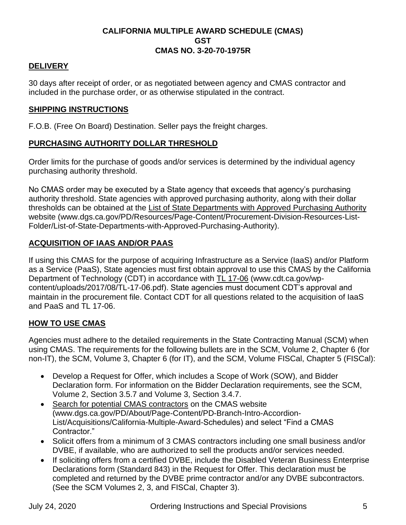# **DELIVERY**

30 days after receipt of order, or as negotiated between agency and CMAS contractor and included in the purchase order, or as otherwise stipulated in the contract.

# **SHIPPING INSTRUCTIONS**

F.O.B. (Free On Board) Destination. Seller pays the freight charges.

# **PURCHASING AUTHORITY DOLLAR THRESHOLD**

Order limits for the purchase of goods and/or services is determined by the individual agency purchasing authority threshold.

No CMAS order may be executed by a State agency that exceeds that agency's purchasing authority threshold. State agencies with approved purchasing authority, along with their dollar thresholds can be obtained at the [List of State Departments with Approved Purchasing Authority](https://www.dgs.ca.gov/PD/Resources/Page-Content/Procurement-Division-Resources-List-Folder/List-of-State-Departments-with-Approved-Purchasing-Authority) website (www.dgs.ca.gov/PD/Resources/Page-Content/Procurement-Division-Resources-List-Folder/List-of-State-Departments-with-Approved-Purchasing-Authority).

# **ACQUISITION OF IAAS AND/OR PAAS**

If using this CMAS for the purpose of acquiring Infrastructure as a Service (IaaS) and/or Platform as a Service (PaaS), State agencies must first obtain approval to use this CMAS by the California Department of Technology (CDT) in accordance with [TL 17-06](https://cdt.ca.gov/wp-content/uploads/2017/08/TL-17-06.pdf) (www.cdt.ca.gov/wpcontent/uploads/2017/08/TL-17-06.pdf). State agencies must document CDT's approval and maintain in the procurement file. Contact CDT for all questions related to the acquisition of IaaS and PaaS and TL 17-06.

# **HOW TO USE CMAS**

Agencies must adhere to the detailed requirements in the State Contracting Manual (SCM) when using CMAS. The requirements for the following bullets are in the SCM, Volume 2, Chapter 6 (for non-IT), the SCM, Volume 3, Chapter 6 (for IT), and the SCM, Volume FISCal, Chapter 5 (FISCal):

- Develop a Request for Offer, which includes a Scope of Work (SOW), and Bidder Declaration form. For information on the Bidder Declaration requirements, see the SCM, Volume 2, Section 3.5.7 and Volume 3, Section 3.4.7.
- [Search for potential CMAS contractors](https://www.dgs.ca.gov/PD/About/Page-Content/PD-Branch-Intro-Accordion-List/Acquisitions/California-Multiple-Award-Schedules) on the CMAS website (www.dgs.ca.gov/PD/About/Page-Content/PD-Branch-Intro-Accordion-List/Acquisitions/California-Multiple-Award-Schedules) and select "Find a CMAS Contractor."
- Solicit offers from a minimum of 3 CMAS contractors including one small business and/or DVBE, if available, who are authorized to sell the products and/or services needed.
- If soliciting offers from a certified DVBE, include the Disabled Veteran Business Enterprise Declarations form (Standard 843) in the Request for Offer. This declaration must be completed and returned by the DVBE prime contractor and/or any DVBE subcontractors. (See the SCM Volumes 2, 3, and FISCal, Chapter 3).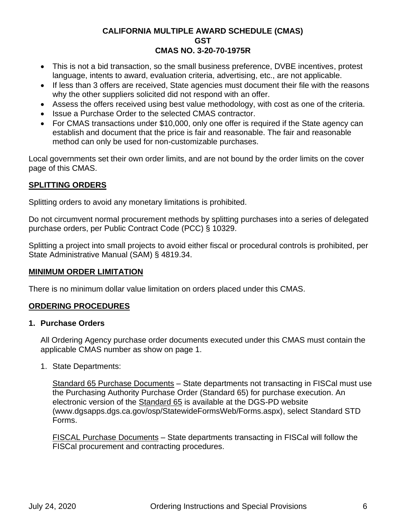- This is not a bid transaction, so the small business preference, DVBE incentives, protest language, intents to award, evaluation criteria, advertising, etc., are not applicable.
- If less than 3 offers are received, State agencies must document their file with the reasons why the other suppliers solicited did not respond with an offer.
- Assess the offers received using best value methodology, with cost as one of the criteria.
- Issue a Purchase Order to the selected CMAS contractor.
- For CMAS transactions under \$10,000, only one offer is required if the State agency can establish and document that the price is fair and reasonable. The fair and reasonable method can only be used for non-customizable purchases.

Local governments set their own order limits, and are not bound by the order limits on the cover page of this CMAS.

# **SPLITTING ORDERS**

Splitting orders to avoid any monetary limitations is prohibited.

Do not circumvent normal procurement methods by splitting purchases into a series of delegated purchase orders, per Public Contract Code (PCC) § 10329.

Splitting a project into small projects to avoid either fiscal or procedural controls is prohibited, per State Administrative Manual (SAM) § 4819.34.

# **MINIMUM ORDER LIMITATION**

There is no minimum dollar value limitation on orders placed under this CMAS.

# **ORDERING PROCEDURES**

# **1. Purchase Orders**

All Ordering Agency purchase order documents executed under this CMAS must contain the applicable CMAS number as show on page 1.

1. State Departments:

Standard 65 Purchase Documents – State departments not transacting in FISCal must use the Purchasing Authority Purchase Order (Standard 65) for purchase execution. An electronic version of the [Standard 65](https://www.dgsapps.dgs.ca.gov/osp/StatewideFormsWeb/Forms.aspx) is available at the DGS-PD website (www.dgsapps.dgs.ca.gov/osp/StatewideFormsWeb/Forms.aspx), select Standard STD Forms.

FISCAL Purchase Documents – State departments transacting in FISCal will follow the FISCal procurement and contracting procedures.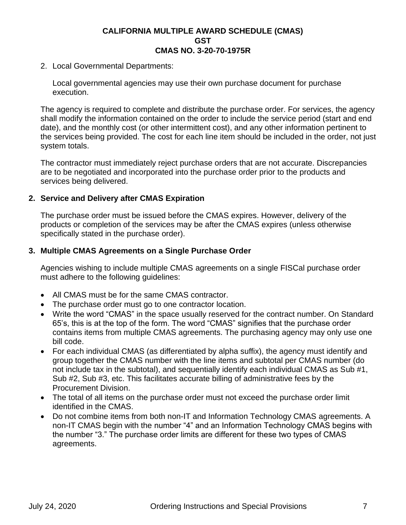2. Local Governmental Departments:

Local governmental agencies may use their own purchase document for purchase execution.

The agency is required to complete and distribute the purchase order. For services, the agency shall modify the information contained on the order to include the service period (start and end date), and the monthly cost (or other intermittent cost), and any other information pertinent to the services being provided. The cost for each line item should be included in the order, not just system totals.

The contractor must immediately reject purchase orders that are not accurate. Discrepancies are to be negotiated and incorporated into the purchase order prior to the products and services being delivered.

# **2. Service and Delivery after CMAS Expiration**

The purchase order must be issued before the CMAS expires. However, delivery of the products or completion of the services may be after the CMAS expires (unless otherwise specifically stated in the purchase order).

# **3. Multiple CMAS Agreements on a Single Purchase Order**

Agencies wishing to include multiple CMAS agreements on a single FISCal purchase order must adhere to the following guidelines:

- All CMAS must be for the same CMAS contractor.
- The purchase order must go to one contractor location.
- Write the word "CMAS" in the space usually reserved for the contract number. On Standard 65's, this is at the top of the form. The word "CMAS" signifies that the purchase order contains items from multiple CMAS agreements. The purchasing agency may only use one bill code.
- For each individual CMAS (as differentiated by alpha suffix), the agency must identify and group together the CMAS number with the line items and subtotal per CMAS number (do not include tax in the subtotal), and sequentially identify each individual CMAS as Sub #1, Sub #2, Sub #3, etc. This facilitates accurate billing of administrative fees by the Procurement Division.
- The total of all items on the purchase order must not exceed the purchase order limit identified in the CMAS.
- Do not combine items from both non-IT and Information Technology CMAS agreements. A non-IT CMAS begin with the number "4" and an Information Technology CMAS begins with the number "3." The purchase order limits are different for these two types of CMAS agreements.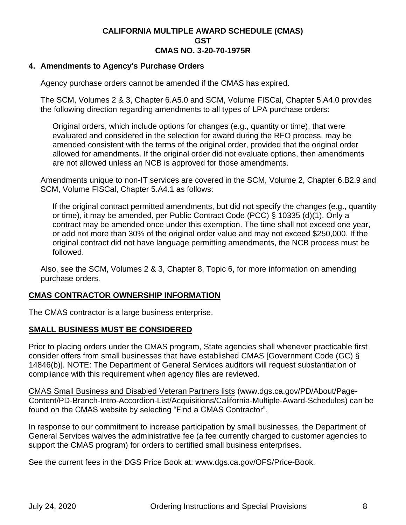# **4. Amendments to Agency's Purchase Orders**

Agency purchase orders cannot be amended if the CMAS has expired.

The SCM, Volumes 2 & 3, Chapter 6.A5.0 and SCM, Volume FISCal, Chapter 5.A4.0 provides the following direction regarding amendments to all types of LPA purchase orders:

Original orders, which include options for changes (e.g., quantity or time), that were evaluated and considered in the selection for award during the RFO process, may be amended consistent with the terms of the original order, provided that the original order allowed for amendments. If the original order did not evaluate options, then amendments are not allowed unless an NCB is approved for those amendments.

Amendments unique to non-IT services are covered in the SCM, Volume 2, Chapter 6.B2.9 and SCM, Volume FISCal, Chapter 5.A4.1 as follows:

If the original contract permitted amendments, but did not specify the changes (e.g., quantity or time), it may be amended, per Public Contract Code (PCC) § 10335 (d)(1). Only a contract may be amended once under this exemption. The time shall not exceed one year, or add not more than 30% of the original order value and may not exceed \$250,000. If the original contract did not have language permitting amendments, the NCB process must be followed.

Also, see the SCM, Volumes 2 & 3, Chapter 8, Topic 6, for more information on amending purchase orders.

# **CMAS CONTRACTOR OWNERSHIP INFORMATION**

The CMAS contractor is a large business enterprise.

# **SMALL BUSINESS MUST BE CONSIDERED**

Prior to placing orders under the CMAS program, State agencies shall whenever practicable first consider offers from small businesses that have established CMAS [Government Code (GC) § 14846(b)]. NOTE: The Department of General Services auditors will request substantiation of compliance with this requirement when agency files are reviewed.

[CMAS Small Business and Disabled Veteran Partners lists](https://www.dgs.ca.gov/PD/About/Page-Content/PD-Branch-Intro-Accordion-List/Acquisitions/California-Multiple-Award-Schedules) (www.dgs.ca.gov/PD/About/Page-Content/PD-Branch-Intro-Accordion-List/Acquisitions/California-Multiple-Award-Schedules) can be found on the CMAS website by selecting "Find a CMAS Contractor".

In response to our commitment to increase participation by small businesses, the Department of General Services waives the administrative fee (a fee currently charged to customer agencies to support the CMAS program) for orders to certified small business enterprises.

See the current fees in the **[DGS Price Book](http://www.dgs.ca.gov/OFS/Price-Book)** at: www.dgs.ca.gov/OFS/Price-Book.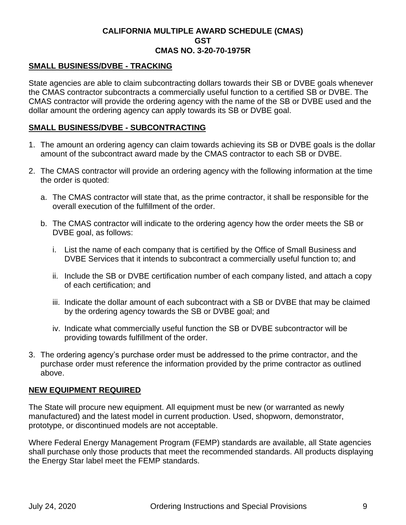# **SMALL BUSINESS/DVBE - TRACKING**

State agencies are able to claim subcontracting dollars towards their SB or DVBE goals whenever the CMAS contractor subcontracts a commercially useful function to a certified SB or DVBE. The CMAS contractor will provide the ordering agency with the name of the SB or DVBE used and the dollar amount the ordering agency can apply towards its SB or DVBE goal.

# **SMALL BUSINESS/DVBE - SUBCONTRACTING**

- 1. The amount an ordering agency can claim towards achieving its SB or DVBE goals is the dollar amount of the subcontract award made by the CMAS contractor to each SB or DVBE.
- 2. The CMAS contractor will provide an ordering agency with the following information at the time the order is quoted:
	- a. The CMAS contractor will state that, as the prime contractor, it shall be responsible for the overall execution of the fulfillment of the order.
	- b. The CMAS contractor will indicate to the ordering agency how the order meets the SB or DVBE goal, as follows:
		- i. List the name of each company that is certified by the Office of Small Business and DVBE Services that it intends to subcontract a commercially useful function to; and
		- ii. Include the SB or DVBE certification number of each company listed, and attach a copy of each certification; and
		- iii. Indicate the dollar amount of each subcontract with a SB or DVBE that may be claimed by the ordering agency towards the SB or DVBE goal; and
		- iv. Indicate what commercially useful function the SB or DVBE subcontractor will be providing towards fulfillment of the order.
- 3. The ordering agency's purchase order must be addressed to the prime contractor, and the purchase order must reference the information provided by the prime contractor as outlined above.

# **NEW EQUIPMENT REQUIRED**

The State will procure new equipment. All equipment must be new (or warranted as newly manufactured) and the latest model in current production. Used, shopworn, demonstrator, prototype, or discontinued models are not acceptable.

Where Federal Energy Management Program (FEMP) standards are available, all State agencies shall purchase only those products that meet the recommended standards. All products displaying the Energy Star label meet the FEMP standards.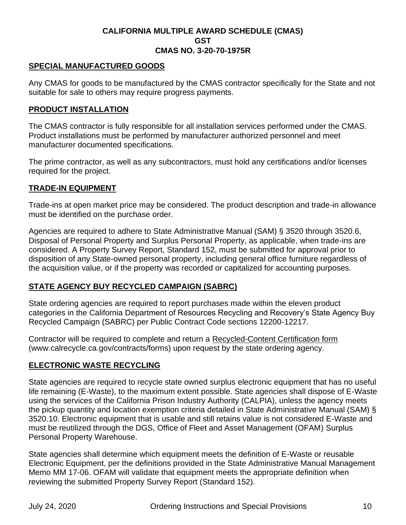# **SPECIAL MANUFACTURED GOODS**

Any CMAS for goods to be manufactured by the CMAS contractor specifically for the State and not suitable for sale to others may require progress payments.

# **PRODUCT INSTALLATION**

The CMAS contractor is fully responsible for all installation services performed under the CMAS. Product installations must be performed by manufacturer authorized personnel and meet manufacturer documented specifications.

The prime contractor, as well as any subcontractors, must hold any certifications and/or licenses required for the project.

# **TRADE-IN EQUIPMENT**

Trade-ins at open market price may be considered. The product description and trade-in allowance must be identified on the purchase order.

Agencies are required to adhere to State Administrative Manual (SAM) § 3520 through 3520.6, Disposal of Personal Property and Surplus Personal Property, as applicable, when trade-ins are considered. A Property Survey Report, Standard 152, must be submitted for approval prior to disposition of any State-owned personal property, including general office furniture regardless of the acquisition value, or if the property was recorded or capitalized for accounting purposes.

# **STATE AGENCY BUY RECYCLED CAMPAIGN (SABRC)**

State ordering agencies are required to report purchases made within the eleven product categories in the California Department of Resources Recycling and Recovery's State Agency Buy Recycled Campaign (SABRC) per Public Contract Code sections 12200-12217.

Contractor will be required to complete and return a [Recycled-Content Certification form](https://www.calrecycle.ca.gov/contracts/forms) (www.calrecycle.ca.gov/contracts/forms) upon request by the state ordering agency.

# **ELECTRONIC WASTE RECYCLING**

State agencies are required to recycle state owned surplus electronic equipment that has no useful life remaining (E-Waste), to the maximum extent possible. State agencies shall dispose of E-Waste using the services of the California Prison Industry Authority (CALPIA), unless the agency meets the pickup quantity and location exemption criteria detailed in State Administrative Manual (SAM) § 3520.10. Electronic equipment that is usable and still retains value is not considered E-Waste and must be reutilized through the DGS, Office of Fleet and Asset Management (OFAM) Surplus Personal Property Warehouse.

State agencies shall determine which equipment meets the definition of E-Waste or reusable Electronic Equipment, per the definitions provided in the State Administrative Manual Management Memo MM 17-06. OFAM will validate that equipment meets the appropriate definition when reviewing the submitted Property Survey Report (Standard 152).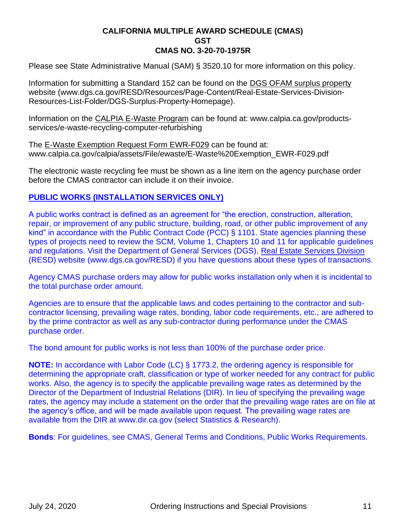Please see State Administrative Manual (SAM) § 3520.10 for more information on this policy.

Information for submitting a Standard 152 can be found on the [DGS OFAM surplus property](https://www.dgs.ca.gov/RESD/Resources/Page-Content/Real-Estate-Services-Division-Resources-List-Folder/DGS-Surplus-Property-Homepage) website (www.dgs.ca.gov/RESD/Resources/Page-Content/Real-Estate-Services-Division-Resources-List-Folder/DGS-Surplus-Property-Homepage).

Information on the [CALPIA E-Waste Program](http://www.calpia.ca.gov/products-services/e-waste-recycling-computer-refurbishing) can be found at: www.calpia.ca.gov/productsservices/e-waste-recycling-computer-refurbishing

The [E-Waste Exemption Request Form EWR-F029](https://www.calpia.ca.gov/calpia/assets/File/ewaste/E-Waste%20Exemption_EWR-F029.pdf) can be found at: www.calpia.ca.gov/calpia/assets/File/ewaste/E-Waste%20Exemption\_EWR-F029.pdf

The electronic waste recycling fee must be shown as a line item on the agency purchase order before the CMAS contractor can include it on their invoice.

# **PUBLIC WORKS (INSTALLATION SERVICES ONLY)**

A public works contract is defined as an agreement for "the erection, construction, alteration, repair, or improvement of any public structure, building, road, or other public improvement of any kind" in accordance with the Public Contract Code (PCC) § 1101. State agencies planning these types of projects need to review the SCM, Volume 1, Chapters 10 and 11 for applicable guidelines and regulations. Visit the Department of General Services (DGS), [Real Estate Services Division](https://www.dgs.ca.gov/RESD) (RESD) website (www.dgs.ca.gov/RESD) if you have questions about these types of transactions.

Agency CMAS purchase orders may allow for public works installation only when it is incidental to the total purchase order amount.

Agencies are to ensure that the applicable laws and codes pertaining to the contractor and subcontractor licensing, prevailing wage rates, bonding, labor code requirements, etc., are adhered to by the prime contractor as well as any sub-contractor during performance under the CMAS purchase order.

The bond amount for public works is not less than 100% of the purchase order price.

**NOTE:** In accordance with Labor Code (LC) § 1773.2, the ordering agency is responsible for determining the appropriate craft, classification or type of worker needed for any contract for public works. Also, the agency is to specify the applicable prevailing wage rates as determined by the Director of the Department of Industrial Relations (DIR). In lieu of specifying the prevailing wage rates, the agency may include a statement on the order that the prevailing wage rates are on file at the agency's office, and will be made available upon request. The prevailing wage rates are available from the DIR at www.dir.ca.gov (select Statistics & Research).

**Bonds**: For guidelines, see CMAS, General Terms and Conditions, Public Works Requirements.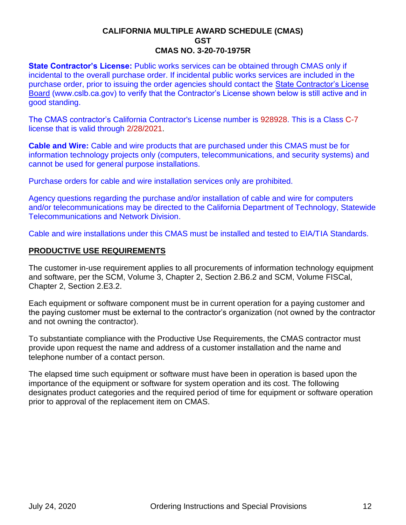**State Contractor's License: Public works services can be obtained through CMAS only if** incidental to the overall purchase order. If incidental public works services are included in the purchase order, prior to issuing the order agencies should contact the [State Contractor's License](http://www.cslb.ca.gov/)  [Board](http://www.cslb.ca.gov/) (www.cslb.ca.gov) to verify that the Contractor's License shown below is still active and in good standing.

The CMAS contractor's California Contractor's License number is 928928. This is a Class C-7 license that is valid through 2/28/2021.

**Cable and Wire:** Cable and wire products that are purchased under this CMAS must be for information technology projects only (computers, telecommunications, and security systems) and cannot be used for general purpose installations.

Purchase orders for cable and wire installation services only are prohibited.

Agency questions regarding the purchase and/or installation of cable and wire for computers and/or telecommunications may be directed to the California Department of Technology, Statewide Telecommunications and Network Division.

Cable and wire installations under this CMAS must be installed and tested to EIA/TIA Standards.

# **PRODUCTIVE USE REQUIREMENTS**

The customer in-use requirement applies to all procurements of information technology equipment and software, per the SCM, Volume 3, Chapter 2, Section 2.B6.2 and SCM, Volume FISCal, Chapter 2, Section 2.E3.2.

Each equipment or software component must be in current operation for a paying customer and the paying customer must be external to the contractor's organization (not owned by the contractor and not owning the contractor).

To substantiate compliance with the Productive Use Requirements, the CMAS contractor must provide upon request the name and address of a customer installation and the name and telephone number of a contact person.

The elapsed time such equipment or software must have been in operation is based upon the importance of the equipment or software for system operation and its cost. The following designates product categories and the required period of time for equipment or software operation prior to approval of the replacement item on CMAS.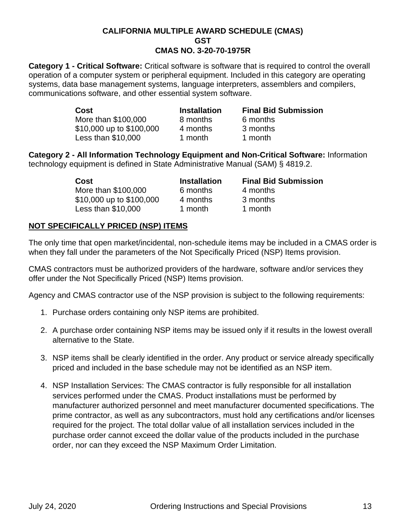**Category 1 - Critical Software:** Critical software is software that is required to control the overall operation of a computer system or peripheral equipment. Included in this category are operating systems, data base management systems, language interpreters, assemblers and compilers, communications software, and other essential system software.

| Cost                     | <b>Installation</b> | <b>Final Bid Submission</b> |
|--------------------------|---------------------|-----------------------------|
| More than \$100,000      | 8 months            | 6 months                    |
| \$10,000 up to \$100,000 | 4 months            | 3 months                    |
| Less than \$10,000       | 1 month             | 1 month                     |

**Category 2 - All Information Technology Equipment and Non-Critical Software:** Information technology equipment is defined in State Administrative Manual (SAM) § 4819.2.

| Cost                     | <b>Installation</b> | <b>Final Bid Submission</b> |
|--------------------------|---------------------|-----------------------------|
| More than \$100,000      | 6 months            | 4 months                    |
| \$10,000 up to \$100,000 | 4 months            | 3 months                    |
| Less than $$10,000$      | 1 month             | 1 month                     |

# **NOT SPECIFICALLY PRICED (NSP) ITEMS**

The only time that open market/incidental, non-schedule items may be included in a CMAS order is when they fall under the parameters of the Not Specifically Priced (NSP) Items provision.

CMAS contractors must be authorized providers of the hardware, software and/or services they offer under the Not Specifically Priced (NSP) Items provision.

Agency and CMAS contractor use of the NSP provision is subject to the following requirements:

- 1. Purchase orders containing only NSP items are prohibited.
- 2. A purchase order containing NSP items may be issued only if it results in the lowest overall alternative to the State.
- 3. NSP items shall be clearly identified in the order. Any product or service already specifically priced and included in the base schedule may not be identified as an NSP item.
- 4. NSP Installation Services: The CMAS contractor is fully responsible for all installation services performed under the CMAS. Product installations must be performed by manufacturer authorized personnel and meet manufacturer documented specifications. The prime contractor, as well as any subcontractors, must hold any certifications and/or licenses required for the project. The total dollar value of all installation services included in the purchase order cannot exceed the dollar value of the products included in the purchase order, nor can they exceed the NSP Maximum Order Limitation.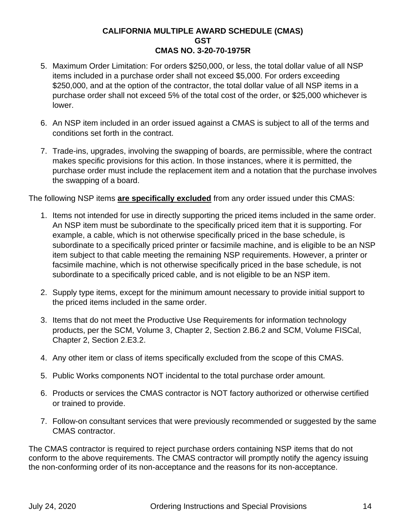- 5. Maximum Order Limitation: For orders \$250,000, or less, the total dollar value of all NSP items included in a purchase order shall not exceed \$5,000. For orders exceeding \$250,000, and at the option of the contractor, the total dollar value of all NSP items in a purchase order shall not exceed 5% of the total cost of the order, or \$25,000 whichever is lower.
- 6. An NSP item included in an order issued against a CMAS is subject to all of the terms and conditions set forth in the contract.
- 7. Trade-ins, upgrades, involving the swapping of boards, are permissible, where the contract makes specific provisions for this action. In those instances, where it is permitted, the purchase order must include the replacement item and a notation that the purchase involves the swapping of a board.

The following NSP items **are specifically excluded** from any order issued under this CMAS:

- 1. Items not intended for use in directly supporting the priced items included in the same order. An NSP item must be subordinate to the specifically priced item that it is supporting. For example, a cable, which is not otherwise specifically priced in the base schedule, is subordinate to a specifically priced printer or facsimile machine, and is eligible to be an NSP item subject to that cable meeting the remaining NSP requirements. However, a printer or facsimile machine, which is not otherwise specifically priced in the base schedule, is not subordinate to a specifically priced cable, and is not eligible to be an NSP item.
- 2. Supply type items, except for the minimum amount necessary to provide initial support to the priced items included in the same order.
- 3. Items that do not meet the Productive Use Requirements for information technology products, per the SCM, Volume 3, Chapter 2, Section 2.B6.2 and SCM, Volume FISCal, Chapter 2, Section 2.E3.2.
- 4. Any other item or class of items specifically excluded from the scope of this CMAS.
- 5. Public Works components NOT incidental to the total purchase order amount.
- 6. Products or services the CMAS contractor is NOT factory authorized or otherwise certified or trained to provide.
- 7. Follow-on consultant services that were previously recommended or suggested by the same CMAS contractor.

The CMAS contractor is required to reject purchase orders containing NSP items that do not conform to the above requirements. The CMAS contractor will promptly notify the agency issuing the non-conforming order of its non-acceptance and the reasons for its non-acceptance.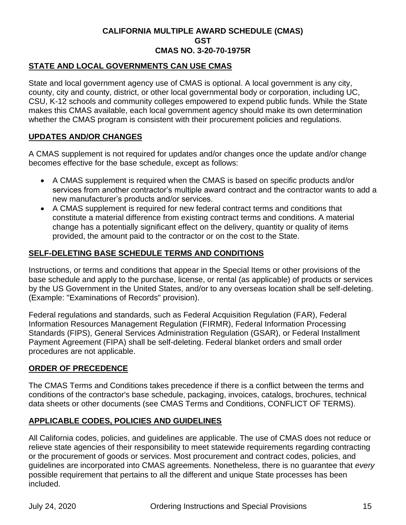# **STATE AND LOCAL GOVERNMENTS CAN USE CMAS**

State and local government agency use of CMAS is optional. A local government is any city, county, city and county, district, or other local governmental body or corporation, including UC, CSU, K-12 schools and community colleges empowered to expend public funds. While the State makes this CMAS available, each local government agency should make its own determination whether the CMAS program is consistent with their procurement policies and regulations.

# **UPDATES AND/OR CHANGES**

A CMAS supplement is not required for updates and/or changes once the update and/or change becomes effective for the base schedule, except as follows:

- A CMAS supplement is required when the CMAS is based on specific products and/or services from another contractor's multiple award contract and the contractor wants to add a new manufacturer's products and/or services.
- A CMAS supplement is required for new federal contract terms and conditions that constitute a material difference from existing contract terms and conditions. A material change has a potentially significant effect on the delivery, quantity or quality of items provided, the amount paid to the contractor or on the cost to the State.

# **SELF-DELETING BASE SCHEDULE TERMS AND CONDITIONS**

Instructions, or terms and conditions that appear in the Special Items or other provisions of the base schedule and apply to the purchase, license, or rental (as applicable) of products or services by the US Government in the United States, and/or to any overseas location shall be self-deleting. (Example: "Examinations of Records" provision).

Federal regulations and standards, such as Federal Acquisition Regulation (FAR), Federal Information Resources Management Regulation (FIRMR), Federal Information Processing Standards (FIPS), General Services Administration Regulation (GSAR), or Federal Installment Payment Agreement (FIPA) shall be self-deleting. Federal blanket orders and small order procedures are not applicable.

# **ORDER OF PRECEDENCE**

The CMAS Terms and Conditions takes precedence if there is a conflict between the terms and conditions of the contractor's base schedule, packaging, invoices, catalogs, brochures, technical data sheets or other documents (see CMAS Terms and Conditions, CONFLICT OF TERMS).

# **APPLICABLE CODES, POLICIES AND GUIDELINES**

All California codes, policies, and guidelines are applicable. The use of CMAS does not reduce or relieve state agencies of their responsibility to meet statewide requirements regarding contracting or the procurement of goods or services. Most procurement and contract codes, policies, and guidelines are incorporated into CMAS agreements. Nonetheless, there is no guarantee that *every* possible requirement that pertains to all the different and unique State processes has been included.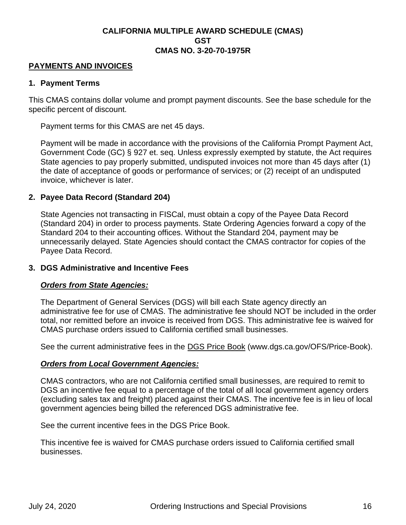# **PAYMENTS AND INVOICES**

#### **1. Payment Terms**

This CMAS contains dollar volume and prompt payment discounts. See the base schedule for the specific percent of discount.

Payment terms for this CMAS are net 45 days.

Payment will be made in accordance with the provisions of the California Prompt Payment Act, Government Code (GC) § 927 et. seq. Unless expressly exempted by statute, the Act requires State agencies to pay properly submitted, undisputed invoices not more than 45 days after (1) the date of acceptance of goods or performance of services; or (2) receipt of an undisputed invoice, whichever is later.

#### **2. Payee Data Record (Standard 204)**

State Agencies not transacting in FISCal, must obtain a copy of the Payee Data Record (Standard 204) in order to process payments. State Ordering Agencies forward a copy of the Standard 204 to their accounting offices. Without the Standard 204, payment may be unnecessarily delayed. State Agencies should contact the CMAS contractor for copies of the Payee Data Record.

#### **3. DGS Administrative and Incentive Fees**

#### *Orders from State Agencies:*

The Department of General Services (DGS) will bill each State agency directly an administrative fee for use of CMAS. The administrative fee should NOT be included in the order total, nor remitted before an invoice is received from DGS. This administrative fee is waived for CMAS purchase orders issued to California certified small businesses.

See the current administrative fees in the [DGS Price Book](https://www.dgs.ca.gov/OFS/Price-Book) (www.dgs.ca.gov/OFS/Price-Book).

# *Orders from Local Government Agencies:*

CMAS contractors, who are not California certified small businesses, are required to remit to DGS an incentive fee equal to a percentage of the total of all local government agency orders (excluding sales tax and freight) placed against their CMAS. The incentive fee is in lieu of local government agencies being billed the referenced DGS administrative fee.

See the current incentive fees in the [DGS Price Book.](https://www.dgs.ca.gov/OFS/Price-Book)

This incentive fee is waived for CMAS purchase orders issued to California certified small businesses.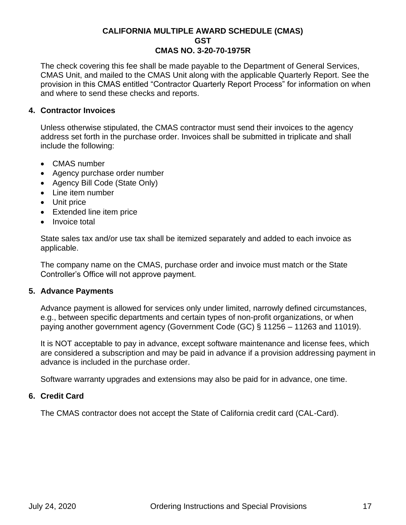The check covering this fee shall be made payable to the Department of General Services, CMAS Unit, and mailed to the CMAS Unit along with the applicable Quarterly Report. See the provision in this CMAS entitled "Contractor Quarterly Report Process" for information on when and where to send these checks and reports.

# **4. Contractor Invoices**

Unless otherwise stipulated, the CMAS contractor must send their invoices to the agency address set forth in the purchase order. Invoices shall be submitted in triplicate and shall include the following:

- CMAS number
- Agency purchase order number
- Agency Bill Code (State Only)
- Line item number
- Unit price
- Extended line item price
- Invoice total

State sales tax and/or use tax shall be itemized separately and added to each invoice as applicable.

The company name on the CMAS, purchase order and invoice must match or the State Controller's Office will not approve payment.

# **5. Advance Payments**

Advance payment is allowed for services only under limited, narrowly defined circumstances, e.g., between specific departments and certain types of non-profit organizations, or when paying another government agency (Government Code (GC) § 11256 – 11263 and 11019).

It is NOT acceptable to pay in advance, except software maintenance and license fees, which are considered a subscription and may be paid in advance if a provision addressing payment in advance is included in the purchase order.

Software warranty upgrades and extensions may also be paid for in advance, one time.

# **6. Credit Card**

The CMAS contractor does not accept the State of California credit card (CAL-Card).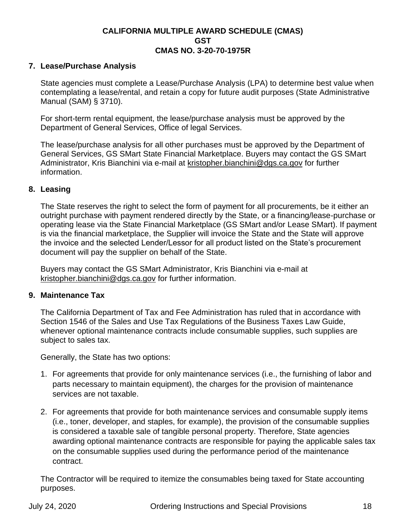# **7. Lease/Purchase Analysis**

State agencies must complete a Lease/Purchase Analysis (LPA) to determine best value when contemplating a lease/rental, and retain a copy for future audit purposes (State Administrative Manual (SAM) § 3710).

For short-term rental equipment, the lease/purchase analysis must be approved by the Department of General Services, Office of legal Services.

The lease/purchase analysis for all other purchases must be approved by the Department of General Services, GS SMart State Financial Marketplace. Buyers may contact the GS SMart Administrator, [Kris](mailto:patrick.mullen@dgs.ca.gov) Bianchini via e-mail at [kristopher.bianchini@dgs.ca.gov](mailto:kristopher.bianchini@dgs.ca.gov) for further information.

# **8. Leasing**

The State reserves the right to select the form of payment for all procurements, be it either an outright purchase with payment rendered directly by the State, or a financing/lease-purchase or operating lease via the State Financial Marketplace (GS SMart and/or Lease SMart). If payment is via the financial marketplace, the Supplier will invoice the State and the State will approve the invoice and the selected Lender/Lessor for all product listed on the State's procurement document will pay the supplier on behalf of the State.

Buyers may contact the GS SMart Administrator, [Kris](mailto:patrick.mullen@dgs.ca.gov) Bianchini via e-mail at [kristopher.bianchini@dgs.ca.gov](mailto:kristopher.bianchini@dgs.ca.gov) for further information.

# **9. Maintenance Tax**

The California Department of Tax and Fee Administration has ruled that in accordance with Section 1546 of the Sales and Use Tax Regulations of the Business Taxes Law Guide, whenever optional maintenance contracts include consumable supplies, such supplies are subject to sales tax.

Generally, the State has two options:

- 1. For agreements that provide for only maintenance services (i.e., the furnishing of labor and parts necessary to maintain equipment), the charges for the provision of maintenance services are not taxable.
- 2. For agreements that provide for both maintenance services and consumable supply items (i.e., toner, developer, and staples, for example), the provision of the consumable supplies is considered a taxable sale of tangible personal property. Therefore, State agencies awarding optional maintenance contracts are responsible for paying the applicable sales tax on the consumable supplies used during the performance period of the maintenance contract.

The Contractor will be required to itemize the consumables being taxed for State accounting purposes.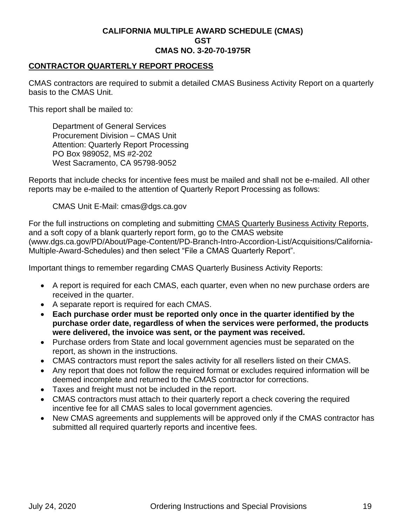# **CONTRACTOR QUARTERLY REPORT PROCESS**

CMAS contractors are required to submit a detailed CMAS Business Activity Report on a quarterly basis to the CMAS Unit.

This report shall be mailed to:

Department of General Services Procurement Division – CMAS Unit Attention: Quarterly Report Processing PO Box 989052, MS #2-202 West Sacramento, CA 95798-9052

Reports that include checks for incentive fees must be mailed and shall not be e-mailed. All other reports may be e-mailed to the attention of Quarterly Report Processing as follows:

CMAS Unit E-Mail: cmas@dgs.ca.gov

For the full instructions on completing and submitting [CMAS Quarterly Business Activity Reports,](http://www.dgs.ca.gov/PD/About/Page-Content/PD-Branch-Intro-Accordion-List/Acquisitions/California-Multiple-Award-Schedules) and a soft copy of a blank quarterly report form, go to the CMAS website (www.dgs.ca.gov/PD/About/Page-Content/PD-Branch-Intro-Accordion-List/Acquisitions/California-Multiple-Award-Schedules) and then select "File a CMAS Quarterly Report".

Important things to remember regarding CMAS Quarterly Business Activity Reports:

- A report is required for each CMAS, each quarter, even when no new purchase orders are received in the quarter.
- A separate report is required for each CMAS.
- **Each purchase order must be reported only once in the quarter identified by the purchase order date, regardless of when the services were performed, the products were delivered, the invoice was sent, or the payment was received.**
- Purchase orders from State and local government agencies must be separated on the report, as shown in the instructions.
- CMAS contractors must report the sales activity for all resellers listed on their CMAS.
- Any report that does not follow the required format or excludes required information will be deemed incomplete and returned to the CMAS contractor for corrections.
- Taxes and freight must not be included in the report.
- CMAS contractors must attach to their quarterly report a check covering the required incentive fee for all CMAS sales to local government agencies.
- New CMAS agreements and supplements will be approved only if the CMAS contractor has submitted all required quarterly reports and incentive fees.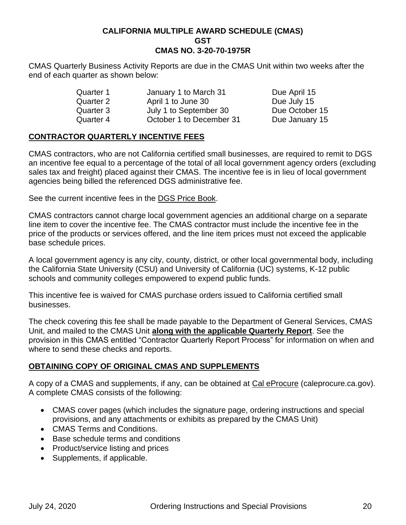CMAS Quarterly Business Activity Reports are due in the CMAS Unit within two weeks after the end of each quarter as shown below:

| Quarter 1 | January 1 to March 31    | Due April 15   |
|-----------|--------------------------|----------------|
| Quarter 2 | April 1 to June 30       | Due July 15    |
| Quarter 3 | July 1 to September 30   | Due October 15 |
| Quarter 4 | October 1 to December 31 | Due January 15 |

# **CONTRACTOR QUARTERLY INCENTIVE FEES**

CMAS contractors, who are not California certified small businesses, are required to remit to DGS an incentive fee equal to a percentage of the total of all local government agency orders (excluding sales tax and freight) placed against their CMAS. The incentive fee is in lieu of local government agencies being billed the referenced DGS administrative fee.

See the current incentive fees in the [DGS Price Book.](https://www.dgs.ca.gov/OFS/Price-Book)

CMAS contractors cannot charge local government agencies an additional charge on a separate line item to cover the incentive fee. The CMAS contractor must include the incentive fee in the price of the products or services offered, and the line item prices must not exceed the applicable base schedule prices.

A local government agency is any city, county, district, or other local governmental body, including the California State University (CSU) and University of California (UC) systems, K-12 public schools and community colleges empowered to expend public funds.

This incentive fee is waived for CMAS purchase orders issued to California certified small businesses.

The check covering this fee shall be made payable to the Department of General Services, CMAS Unit, and mailed to the CMAS Unit **along with the applicable Quarterly Report**. See the provision in this CMAS entitled "Contractor Quarterly Report Process" for information on when and where to send these checks and reports.

# **OBTAINING COPY OF ORIGINAL CMAS AND SUPPLEMENTS**

A copy of a CMAS and supplements, if any, can be obtained at [Cal eProcure](https://caleprocure.ca.gov/) (caleprocure.ca.gov). A complete CMAS consists of the following:

- CMAS cover pages (which includes the signature page, ordering instructions and special provisions, and any attachments or exhibits as prepared by the CMAS Unit)
- CMAS Terms and Conditions.
- Base schedule terms and conditions
- Product/service listing and prices
- Supplements, if applicable.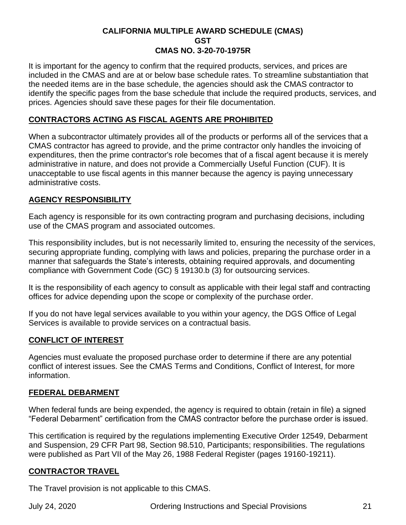It is important for the agency to confirm that the required products, services, and prices are included in the CMAS and are at or below base schedule rates. To streamline substantiation that the needed items are in the base schedule, the agencies should ask the CMAS contractor to identify the specific pages from the base schedule that include the required products, services, and prices. Agencies should save these pages for their file documentation.

# **CONTRACTORS ACTING AS FISCAL AGENTS ARE PROHIBITED**

When a subcontractor ultimately provides all of the products or performs all of the services that a CMAS contractor has agreed to provide, and the prime contractor only handles the invoicing of expenditures, then the prime contractor's role becomes that of a fiscal agent because it is merely administrative in nature, and does not provide a Commercially Useful Function (CUF). It is unacceptable to use fiscal agents in this manner because the agency is paying unnecessary administrative costs.

# **AGENCY RESPONSIBILITY**

Each agency is responsible for its own contracting program and purchasing decisions, including use of the CMAS program and associated outcomes.

This responsibility includes, but is not necessarily limited to, ensuring the necessity of the services, securing appropriate funding, complying with laws and policies, preparing the purchase order in a manner that safeguards the State's interests, obtaining required approvals, and documenting compliance with Government Code (GC) § 19130.b (3) for outsourcing services.

It is the responsibility of each agency to consult as applicable with their legal staff and contracting offices for advice depending upon the scope or complexity of the purchase order.

If you do not have legal services available to you within your agency, the DGS Office of Legal Services is available to provide services on a contractual basis.

# **CONFLICT OF INTEREST**

Agencies must evaluate the proposed purchase order to determine if there are any potential conflict of interest issues. See the CMAS Terms and Conditions, Conflict of Interest, for more information.

# **FEDERAL DEBARMENT**

When federal funds are being expended, the agency is required to obtain (retain in file) a signed "Federal Debarment" certification from the CMAS contractor before the purchase order is issued.

This certification is required by the regulations implementing Executive Order 12549, Debarment and Suspension, 29 CFR Part 98, Section 98.510, Participants; responsibilities. The regulations were published as Part VII of the May 26, 1988 Federal Register (pages 19160-19211).

# **CONTRACTOR TRAVEL**

The Travel provision is not applicable to this CMAS.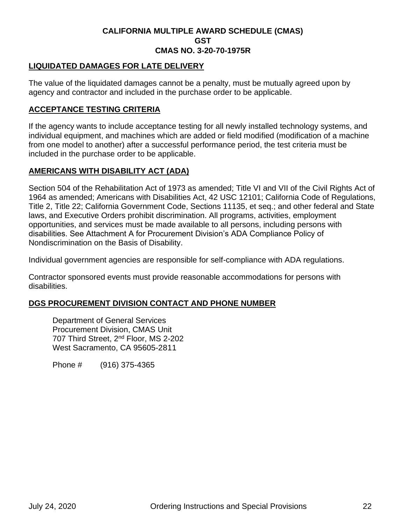# **LIQUIDATED DAMAGES FOR LATE DELIVERY**

The value of the liquidated damages cannot be a penalty, must be mutually agreed upon by agency and contractor and included in the purchase order to be applicable.

# **ACCEPTANCE TESTING CRITERIA**

If the agency wants to include acceptance testing for all newly installed technology systems, and individual equipment, and machines which are added or field modified (modification of a machine from one model to another) after a successful performance period, the test criteria must be included in the purchase order to be applicable.

# **AMERICANS WITH DISABILITY ACT (ADA)**

Section 504 of the Rehabilitation Act of 1973 as amended; Title VI and VII of the Civil Rights Act of 1964 as amended; Americans with Disabilities Act, 42 USC 12101; California Code of Regulations, Title 2, Title 22; California Government Code, Sections 11135, et seq.; and other federal and State laws, and Executive Orders prohibit discrimination. All programs, activities, employment opportunities, and services must be made available to all persons, including persons with disabilities. See Attachment A for Procurement Division's ADA Compliance Policy of Nondiscrimination on the Basis of Disability.

Individual government agencies are responsible for self-compliance with ADA regulations.

Contractor sponsored events must provide reasonable accommodations for persons with disabilities.

# **DGS PROCUREMENT DIVISION CONTACT AND PHONE NUMBER**

Department of General Services Procurement Division, CMAS Unit 707 Third Street, 2<sup>nd</sup> Floor, MS 2-202 West Sacramento, CA 95605-2811

Phone # (916) 375-4365